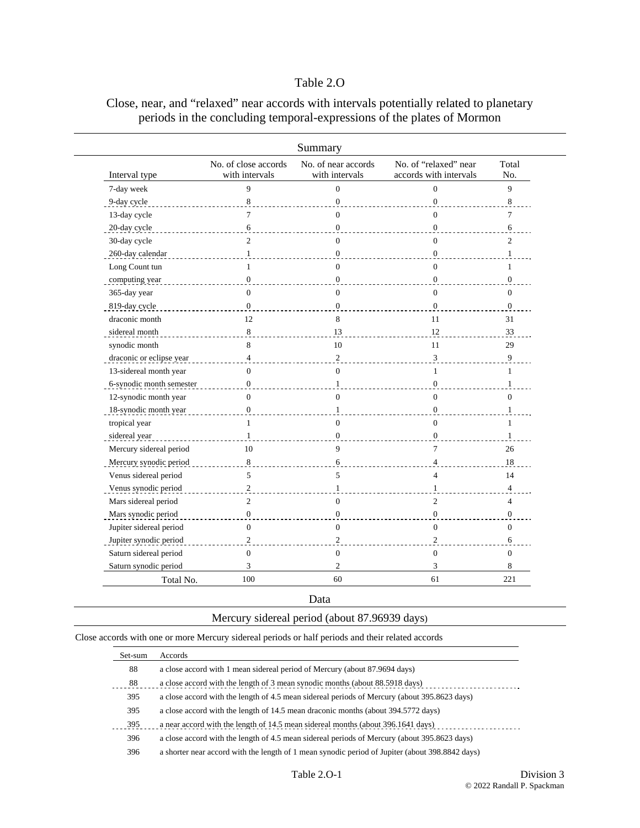# Table 2.O

|                          |                                        | Summary                               |                                                 |                  |
|--------------------------|----------------------------------------|---------------------------------------|-------------------------------------------------|------------------|
| Interval type            | No. of close accords<br>with intervals | No. of near accords<br>with intervals | No. of "relaxed" near<br>accords with intervals | Total<br>No.     |
| 7-day week               | 9                                      | $\mathbf{0}$                          | $\Omega$                                        | 9                |
| 9-day cycle              | 8                                      | $\mathbf{0}$                          | $\overline{0}$                                  | 8                |
| 13-day cycle             | 7                                      | $\mathbf{0}$                          | $\Omega$                                        | 7                |
| 20-day cycle             | 6                                      | $\boldsymbol{0}$                      | $\mathbf{0}$                                    | 6                |
| 30-day cycle             | $\overline{c}$                         | $\mathbf{0}$                          | $\Omega$                                        | $\overline{2}$   |
| 260-day calendar         | $\mathbf{1}$                           | $\mathbf{0}$                          | $\Omega$                                        |                  |
| Long Count tun           | 1                                      | $\theta$                              | $\Omega$                                        | 1                |
| computing year           | $\mathbf{0}$                           | $\mathbf{0}$                          | $\overline{0}$                                  | $\boldsymbol{0}$ |
| 365-day year             | $\Omega$                               | $\overline{0}$                        | $\Omega$                                        | $\mathbf{0}$     |
| 819-day cycle            | $\mathbf{0}$                           | $\mathbf{0}$                          | $\mathbf{0}$                                    | $\mathbf{0}$     |
| draconic month           | 12                                     | 8                                     | 11                                              | 31               |
| sidereal month           | 8                                      | 13                                    | 12                                              | 33               |
| synodic month            | 8                                      | 10                                    | 11                                              | 29               |
| draconic or eclipse year | $\overline{4}$                         | $\sqrt{2}$                            | 3                                               | 9                |
| 13-sidereal month year   | $\Omega$                               | $\mathbf{0}$                          | $\mathbf{1}$                                    | 1                |
| 6-synodic month semester | $\Omega$                               | $\mathbf{1}$                          | $\Omega$                                        | $\mathbf{1}$     |
| 12-synodic month year    | $\Omega$                               | $\theta$                              | $\Omega$                                        | $\Omega$         |
| 18-synodic month year    | $\boldsymbol{0}$                       | $\mathbf{1}$                          | $\overline{0}$                                  | $\mathbf{1}$     |
| tropical year            | $\mathbf{1}$                           | $\mathbf{0}$                          | $\mathbf{0}$                                    | $\mathbf{1}$     |
| sidereal year            | $\mathbf{1}$                           | $\mathbf{0}$                          | $\Omega$                                        | $\mathbf{1}$     |
| Mercury sidereal period  | 10                                     | 9                                     | $\overline{7}$                                  | 26               |
| Mercury synodic period   | 8                                      | 6                                     | $\overline{\mathcal{A}}$                        | 18               |
| Venus sidereal period    | 5                                      | 5                                     | $\overline{4}$                                  | 14               |
| Venus synodic period     | $\overline{c}$                         | $\mathbf{1}$                          | $\mathbf{1}$                                    | $\overline{4}$   |
| Mars sidereal period     | $\overline{2}$                         | $\mathbf{0}$                          | $\overline{c}$                                  | $\overline{4}$   |
| Mars synodic period      | $\mathbf{0}$                           | $\mathbf{0}$                          | $\mathbf{0}$                                    | $\mathbf{0}$     |
| Jupiter sidereal period  | $\overline{0}$                         | $\overline{0}$                        | $\overline{0}$                                  | $\mathbf{0}$     |
| Jupiter synodic period   | $\overline{c}$                         | $\mathbf{2}$                          | $\overline{c}$                                  | 6                |
| Saturn sidereal period   | $\overline{0}$                         | $\boldsymbol{0}$                      | $\mathbf{0}$                                    | $\boldsymbol{0}$ |
| Saturn synodic period    | 3                                      | $\overline{2}$                        | 3                                               | 8                |
| Total No.                | 100                                    | 60                                    | 61                                              | 221              |

# Close, near, and "relaxed" near accords with intervals potentially related to planetary periods in the concluding temporal-expressions of the plates of Mormon

Data

| Mercury sidereal period (about 87.96939 days) |  |  |  |  |  |  |
|-----------------------------------------------|--|--|--|--|--|--|
|-----------------------------------------------|--|--|--|--|--|--|

Close accords with one or more Mercury sidereal periods or half periods and their related accords

| Set-sum | Accords                                                                                         |
|---------|-------------------------------------------------------------------------------------------------|
| 88      | a close accord with 1 mean sidereal period of Mercury (about 87.9694 days)                      |
| 88      | a close accord with the length of 3 mean synodic months (about 88.5918 days)                    |
| 395     | a close accord with the length of 4.5 mean sidereal periods of Mercury (about 395.8623 days)    |
| 395     | a close accord with the length of 14.5 mean draconic months (about 394.5772 days)               |
| 395     | a near accord with the length of 14.5 mean sidereal months (about 396.1641 days)                |
| 396     | a close accord with the length of 4.5 mean sidereal periods of Mercury (about 395.8623 days)    |
| 396     | a shorter near accord with the length of 1 mean synodic period of Jupiter (about 398.8842 days) |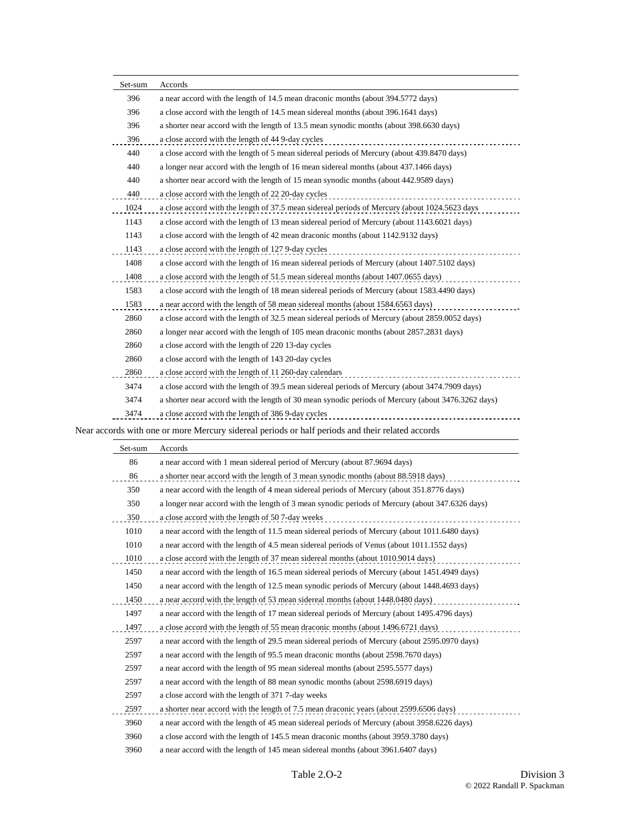| Set-sum | Accords                                                                                            |
|---------|----------------------------------------------------------------------------------------------------|
| 396     | a near accord with the length of 14.5 mean draconic months (about 394.5772 days)                   |
| 396     | a close accord with the length of 14.5 mean sidereal months (about 396.1641 days)                  |
| 396     | a shorter near accord with the length of 13.5 mean synodic months (about 398.6630 days)            |
| 396     | a close accord with the length of 44 9-day cycles                                                  |
| 440     | a close accord with the length of 5 mean sidereal periods of Mercury (about 439.8470 days)         |
| 440     | a longer near accord with the length of 16 mean sidereal months (about 437.1466 days)              |
| 440     | a shorter near accord with the length of 15 mean synodic months (about 442.9589 days)              |
| 440     | a close accord with the length of 22 20-day cycles                                                 |
| 1024    | a close accord with the length of 37.5 mean sidereal periods of Mercury (about 1024.5623 days      |
| 1143    | a close accord with the length of 13 mean sidereal period of Mercury (about 1143.6021 days)        |
| 1143    | a close accord with the length of 42 mean draconic months (about 1142.9132 days)                   |
| 1143    | a close accord with the length of 127 9-day cycles                                                 |
| 1408    | a close accord with the length of 16 mean sidereal periods of Mercury (about 1407.5102 days)       |
| 1408    | a close accord with the length of 51.5 mean sidereal months (about 1407.0655 days)                 |
| 1583    | a close accord with the length of 18 mean sidereal periods of Mercury (about 1583.4490 days)       |
| 1583    | a near accord with the length of 58 mean sidereal months (about 1584.6563 days)                    |
| 2860    | a close accord with the length of 32.5 mean sidereal periods of Mercury (about 2859.0052 days)     |
| 2860    | a longer near accord with the length of 105 mean draconic months (about 2857.2831 days)            |
| 2860    | a close accord with the length of 220 13-day cycles                                                |
| 2860    | a close accord with the length of 143 20-day cycles                                                |
| 2860    | a close accord with the length of 11 260-day calendars<br>.                                        |
| 3474    | a close accord with the length of 39.5 mean sidereal periods of Mercury (about 3474.7909 days)     |
| 3474    | a shorter near accord with the length of 30 mean synodic periods of Mercury (about 3476.3262 days) |
| 3474    | a close accord with the length of 386 9-day cycles                                                 |
|         |                                                                                                    |

Near accords with one or more Mercury sidereal periods or half periods and their related accords

| Set-sum | Accords                                                                                         |
|---------|-------------------------------------------------------------------------------------------------|
| 86      | a near accord with 1 mean sidereal period of Mercury (about 87.9694 days)                       |
| 86      | a shorter near accord with the length of 3 mean synodic months (about 88.5918 days)             |
| 350     | a near accord with the length of 4 mean sidereal periods of Mercury (about 351.8776 days)       |
| 350     | a longer near accord with the length of 3 mean synodic periods of Mercury (about 347.6326 days) |
| 350     | a close accord with the length of 50 7-day weeks                                                |
| 1010    | a near accord with the length of 11.5 mean sidereal periods of Mercury (about 1011.6480 days)   |
| 1010    | a near accord with the length of 4.5 mean sidereal periods of Venus (about 1011.1552 days)      |
| 1010    | a close accord with the length of 37 mean sidereal months (about 1010.9014 days)                |
| 1450    | a near accord with the length of 16.5 mean sidereal periods of Mercury (about 1451,4949 days)   |
| 1450    | a near accord with the length of 12.5 mean synodic periods of Mercury (about 1448.4693 days)    |
| 1450    | a near accord with the length of 53 mean sidereal months (about 1448.0480 days)                 |
| 1497    | a near accord with the length of 17 mean sidereal periods of Mercury (about 1495.4796 days)     |
| 1497    | a close accord with the length of 55 mean draconic months (about 1496.6721 days)                |
| 2597    | a near accord with the length of 29.5 mean sidereal periods of Mercury (about 2595.0970 days)   |
| 2597    | a near accord with the length of 95.5 mean draconic months (about 2598.7670 days)               |
| 2597    | a near accord with the length of 95 mean sidereal months (about 2595.5577 days)                 |
| 2597    | a near accord with the length of 88 mean synodic months (about 2598.6919 days)                  |
| 2597    | a close accord with the length of 371 7-day weeks                                               |
| 2597    | a shorter near accord with the length of 7.5 mean draconic years (about 2599.6506 days)         |
| 3960    | a near accord with the length of 45 mean sidereal periods of Mercury (about 3958.6226 days)     |
| 3960    | a close accord with the length of 145.5 mean draconic months (about 3959.3780 days)             |
| 3960    | a near accord with the length of 145 mean sidereal months (about 3961.6407 days)                |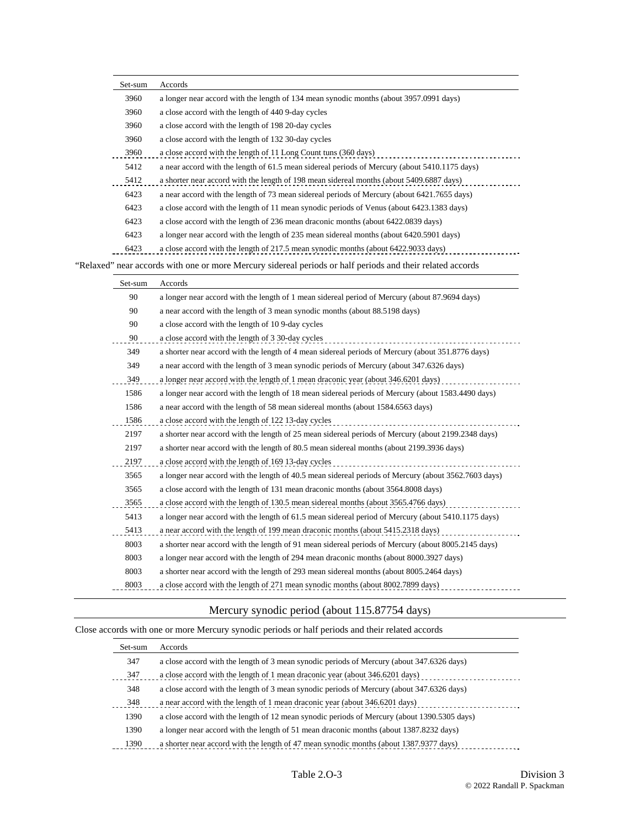| Set-sum | Accords                                                                                                    |
|---------|------------------------------------------------------------------------------------------------------------|
| 3960    | a longer near accord with the length of 134 mean synodic months (about 3957.0991 days)                     |
| 3960    | a close accord with the length of 440 9-day cycles                                                         |
| 3960    | a close accord with the length of 198 20-day cycles                                                        |
| 3960    | a close accord with the length of 132 30-day cycles                                                        |
| 3960    | a close accord with the length of 11 Long Count tuns (360 days)                                            |
| 5412    | a near accord with the length of 61.5 mean sidereal periods of Mercury (about 5410.1175 days)              |
| 5412    | a shorter near accord with the length of 198 mean sidereal months (about 5409.6887 days)                   |
| 6423    | a near accord with the length of 73 mean sidereal periods of Mercury (about 6421.7655 days)                |
| 6423    | a close accord with the length of 11 mean synodic periods of Venus (about 6423.1383 days)                  |
| 6423    | a close accord with the length of 236 mean draconic months (about 6422.0839 days)                          |
| 6423    | a longer near accord with the length of 235 mean sidereal months (about 6420.5901 days)                    |
| 6423    | a close accord with the length of 217.5 mean synodic months (about 6422.9033 days)                         |
|         | "Relaxed" near accords with one or more Mercury sidereal periods or half periods and their related accords |
| Set-sum | Accords                                                                                                    |
| 90      | a longer near accord with the length of 1 mean sidereal period of Mercury (about 87.9694 days)             |
| 90      | a near accord with the length of 3 mean synodic months (about 88.5198 days)                                |
| 90      | a close accord with the length of 109-day cycles                                                           |
| 90      | a close accord with the length of 3 30-day cycles                                                          |
| 349     | a shorter near accord with the length of 4 mean sidereal periods of Mercury (about 351.8776 days)          |
| 349     | a near accord with the length of 3 mean synodic periods of Mercury (about 347.6326 days)                   |
| 349     | a longer near accord with the length of 1 mean draconic year (about 346.6201 days)                         |
| 1586    | a longer near accord with the length of 18 mean sidereal periods of Mercury (about 1583.4490 days)         |
| 1586    | a near accord with the length of 58 mean sidereal months (about 1584.6563 days)                            |
| 1586    | a close accord with the length of 122 13-day cycles                                                        |
| 2197    | a shorter near accord with the length of 25 mean sidereal periods of Mercury (about 2199.2348 days)        |
| 2197    | a shorter near accord with the length of 80.5 mean sidereal months (about 2199.3936 days)                  |
| 2197    | a close accord with the length of 169 13-day cycles                                                        |
| 3565    | a longer near accord with the length of 40.5 mean sidereal periods of Mercury (about 3562.7603 days)       |
| 3565    | a close accord with the length of 131 mean draconic months (about 3564.8008 days)                          |
| 3565    | a close accord with the length of 130.5 mean sidereal months (about 3565.4766 days)                        |
| 5413    | a longer near accord with the length of 61.5 mean sidereal period of Mercury (about 5410.1175 days)        |
| 5413    | a near accord with the length of 199 mean draconic months (about 5415.2318 days)                           |
| 8003    | a shorter near accord with the length of 91 mean sidereal periods of Mercury (about 8005.2145 days)        |
| 8003    | a longer near accord with the length of 294 mean draconic months (about 8000.3927 days)                    |
| 8003    | a shorter near accord with the length of 293 mean sidereal months (about 8005.2464 days)                   |
| 8003    | a close accord with the length of 271 mean synodic months (about 8002.7899 days)                           |
|         |                                                                                                            |

## Mercury synodic period (about 115.87754 days)

## Close accords with one or more Mercury synodic periods or half periods and their related accords

| Set-sum | Accords                                                                                     |
|---------|---------------------------------------------------------------------------------------------|
| 347     | a close accord with the length of 3 mean synodic periods of Mercury (about 347.6326 days)   |
| 347     | a close accord with the length of 1 mean draconic year (about 346.6201 days)                |
| 348     | a close accord with the length of 3 mean synodic periods of Mercury (about 347.6326 days)   |
| 348     | a near accord with the length of 1 mean draconic year (about 346.6201 days)                 |
| 1390    | a close accord with the length of 12 mean synodic periods of Mercury (about 1390.5305 days) |
| 1390    | a longer near accord with the length of 51 mean draconic months (about 1387.8232 days)      |
| 1390    | a shorter near accord with the length of 47 mean synodic months (about 1387.9377 days)      |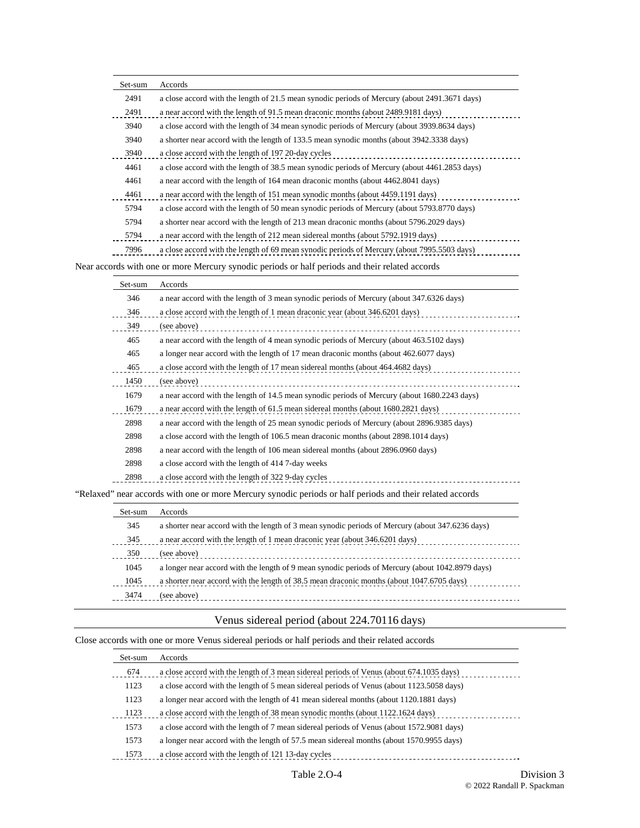| Set-sum | Accords                                                                                         |
|---------|-------------------------------------------------------------------------------------------------|
| 2491    | a close accord with the length of 21.5 mean synodic periods of Mercury (about 2491.3671 days)   |
| 2491    | a near accord with the length of 91.5 mean draconic months (about 2489.9181 days)               |
| 3940    | a close accord with the length of 34 mean synodic periods of Mercury (about 3939.8634 days)     |
| 3940    | a shorter near accord with the length of 133.5 mean synodic months (about 3942.3338 days)       |
| 3940    | a close accord with the length of 197 20-day cycles                                             |
| 4461    | a close accord with the length of 38.5 mean synodic periods of Mercury (about 4461.2853 days)   |
| 4461    | a near accord with the length of 164 mean draconic months (about 4462.8041 days)                |
| 4461    | a near accord with the length of 151 mean synodic months (about 4459.1191 days)                 |
| 5794    | a close accord with the length of 50 mean synodic periods of Mercury (about 5793.8770 days)     |
| 5794    | a shorter near accord with the length of 213 mean draconic months (about 5796.2029 days)        |
| 5794    | a near accord with the length of 212 mean sidereal months (about 5792.1919 days)                |
| 7996    | a close accord with the length of 69 mean synodic periods of Mercury (about 7995.5503 days)     |
|         | Near accords with one or more Mercury synodic periods or half periods and their related accords |

| Set-sum | Accords                                                                                      |
|---------|----------------------------------------------------------------------------------------------|
| 346     | a near accord with the length of 3 mean synodic periods of Mercury (about 347.6326 days)     |
| 346     | a close accord with the length of 1 mean draconic year (about 346.6201 days)                 |
| 349     | (see above)                                                                                  |
| 465     | a near accord with the length of 4 mean synodic periods of Mercury (about 463.5102 days)     |
| 465     | a longer near accord with the length of 17 mean draconic months (about 462.6077 days)        |
| 465     | a close accord with the length of 17 mean sidereal months (about 464.4682 days)              |
| 1450    | (see above)                                                                                  |
| 1679    | a near accord with the length of 14.5 mean synodic periods of Mercury (about 1680.2243 days) |
| 1679    | a near accord with the length of 61.5 mean sidereal months (about 1680.2821 days)            |
| 2898    | a near accord with the length of 25 mean synodic periods of Mercury (about 2896.9385 days)   |
| 2898    | a close accord with the length of 106.5 mean draconic months (about 2898.1014 days)          |
| 2898    | a near accord with the length of 106 mean sidereal months (about 2896.0960 days)             |
| 2898    | a close accord with the length of 414 7-day weeks                                            |
| 2898    | a close accord with the length of 322 9-day cycles                                           |
|         |                                                                                              |

"Relaxed" near accords with one or more Mercury synodic periods or half periods and their related accords

| Set-sum | <b>Accords</b>                                                                                   |
|---------|--------------------------------------------------------------------------------------------------|
| 345     | a shorter near accord with the length of 3 mean synodic periods of Mercury (about 347.6236 days) |
| 345     | a near accord with the length of 1 mean draconic year (about 346.6201 days)                      |
| 350     | (see above)                                                                                      |
| 1045    | a longer near accord with the length of 9 mean synodic periods of Mercury (about 1042.8979 days) |
| 1045    | a shorter near accord with the length of 38.5 mean draconic months (about 1047.6705 days)        |
| 3474    | (see above)<br>-------------------------------------                                             |

## Venus sidereal period (about 224.70116 days)

Close accords with one or more Venus sidereal periods or half periods and their related accords

| Set-sum | Accords                                                                                   |
|---------|-------------------------------------------------------------------------------------------|
| 674     | a close accord with the length of 3 mean sidereal periods of Venus (about 674.1035 days)  |
| 1123    | a close accord with the length of 5 mean sidereal periods of Venus (about 1123.5058 days) |
| 1123    | a longer near accord with the length of 41 mean sidereal months (about 1120.1881 days)    |
| 1123    | a close accord with the length of 38 mean synodic months (about 1122.1624 days)           |
| 1573    | a close accord with the length of 7 mean sidereal periods of Venus (about 1572.9081 days) |
| 1573    | a longer near accord with the length of 57.5 mean sidereal months (about 1570.9955 days)  |
| 1573    | a close accord with the length of 121 13-day cycles                                       |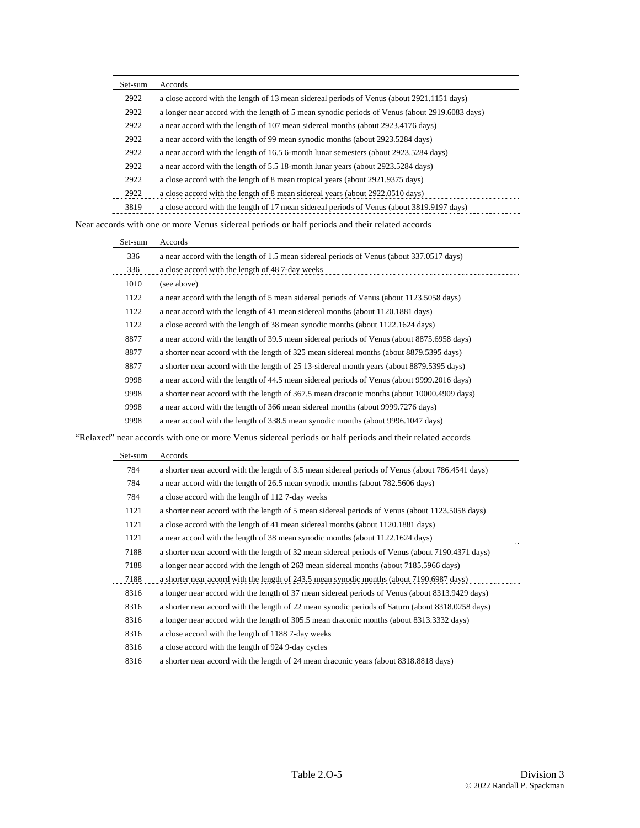| Set-sum | Accords                                                                                        |
|---------|------------------------------------------------------------------------------------------------|
| 2922    | a close accord with the length of 13 mean sidereal periods of Venus (about 2921.1151 days)     |
| 2922    | a longer near accord with the length of 5 mean synodic periods of Venus (about 2919.6083 days) |
| 2922    | a near accord with the length of 107 mean sidereal months (about 2923.4176 days)               |
| 2922    | a near accord with the length of 99 mean synodic months (about 2923.5284 days)                 |
| 2922    | a near accord with the length of 16.5 6-month lunar semesters (about 2923.5284 days)           |
| 2922    | a near accord with the length of 5.5 18-month lunar years (about 2923.5284 days)               |
| 2922    | a close accord with the length of 8 mean tropical years (about 2921.9375 days)                 |
| 2922    | a close accord with the length of 8 mean sidereal years (about 2922.0510 days)                 |
| 3819    | a close accord with the length of 17 mean sidereal periods of Venus (about 3819.9197 days)     |

Near accords with one or more Venus sidereal periods or half periods and their related accords

| Set-sum | Accords                                                                                     |
|---------|---------------------------------------------------------------------------------------------|
| 336     | a near accord with the length of 1.5 mean sidereal periods of Venus (about 337.0517 days)   |
| 336     | a close accord with the length of 48.7-day weeks                                            |
| 1010    | (see above)                                                                                 |
| 1122    | a near accord with the length of 5 mean sidereal periods of Venus (about 1123.5058 days)    |
| 1122    | a near accord with the length of 41 mean sidereal months (about 1120.1881 days)             |
| 1122    | a close accord with the length of 38 mean synodic months (about 1122.1624 days)             |
| 8877    | a near accord with the length of 39.5 mean sidereal periods of Venus (about 8875.6958 days) |
| 8877    | a shorter near accord with the length of 325 mean sidereal months (about 8879.5395 days)    |
| 8877    | a shorter near accord with the length of 25 13-sidereal month years (about 8879.5395 days)  |
| 9998    | a near accord with the length of 44.5 mean sidereal periods of Venus (about 9999.2016 days) |
| 9998    | a shorter near accord with the length of 367.5 mean draconic months (about 10000.4909 days) |
| 9998    | a near accord with the length of 366 mean sidereal months (about 9999.7276 days)            |
| 9998    | a near accord with the length of 338.5 mean synodic months (about 9996.1047 days)           |

"Relaxed" near accords with one or more Venus sidereal periods or half periods and their related accords

| Set-sum | Accords                                                                                           |
|---------|---------------------------------------------------------------------------------------------------|
| 784     | a shorter near accord with the length of 3.5 mean sidereal periods of Venus (about 786.4541 days) |
| 784     | a near accord with the length of 26.5 mean synodic months (about 782.5606 days)                   |
| 784     | a close accord with the length of 1127-day weeks                                                  |
| 1121    | a shorter near accord with the length of 5 mean sidereal periods of Venus (about 1123.5058 days)  |
| 1121    | a close accord with the length of 41 mean sidereal months (about 1120.1881 days)                  |
| 1121    | a near accord with the length of 38 mean synodic months (about 1122.1624 days)                    |
| 7188    | a shorter near accord with the length of 32 mean sidereal periods of Venus (about 7190.4371 days) |
| 7188    | a longer near accord with the length of 263 mean sidereal months (about 7185.5966 days)           |
| 7188    | a shorter near accord with the length of 243.5 mean synodic months (about 7190.6987 days)         |
| 8316    | a longer near accord with the length of 37 mean sidereal periods of Venus (about 8313.9429 days)  |
| 8316    | a shorter near accord with the length of 22 mean synodic periods of Saturn (about 8318.0258 days) |
| 8316    | a longer near accord with the length of 305.5 mean draconic months (about 8313.3332 days)         |
| 8316    | a close accord with the length of 11887-day weeks                                                 |
| 8316    | a close accord with the length of 924 9-day cycles                                                |
| 8316    | a shorter near accord with the length of 24 mean draconic years (about 8318.8818 days)            |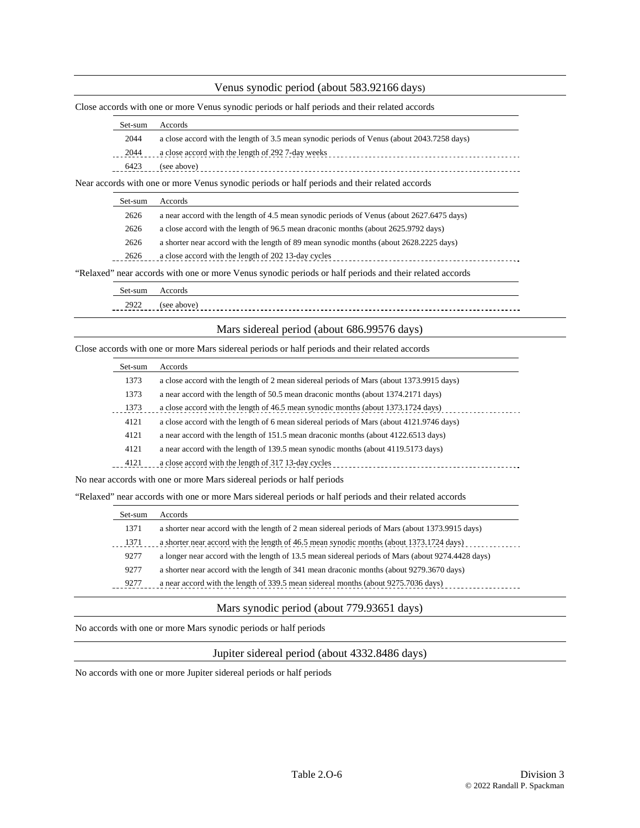#### Venus synodic period (about 583.92166 days)

Close accords with one or more Venus synodic periods or half periods and their related accords

| Set-sum | <b>Accords</b>                                                                             |
|---------|--------------------------------------------------------------------------------------------|
| 2044    | a close accord with the length of 3.5 mean synodic periods of Venus (about 2043.7258 days) |
| 2044    | a close accord with the length of 292 7-day weeks                                          |
| 6423    | (see above)                                                                                |

Near accords with one or more Venus synodic periods or half periods and their related accords

|                                                                                                         | Set-sum | Accords                                                                                   |
|---------------------------------------------------------------------------------------------------------|---------|-------------------------------------------------------------------------------------------|
|                                                                                                         | 2626    | a near accord with the length of 4.5 mean synodic periods of Venus (about 2627.6475 days) |
|                                                                                                         | 2626    | a close accord with the length of 96.5 mean draconic months (about 2625.9792 days)        |
|                                                                                                         | 2626    | a shorter near accord with the length of 89 mean synodic months (about 2628.2225 days)    |
|                                                                                                         | 2626    | a close accord with the length of 202 13-day cycles                                       |
| "Relaxed" near accords with one or more Venus synodic periods or half periods and their related accords |         |                                                                                           |

| set-sum | coor             |
|---------|------------------|
| 2922    | 'see<br>$d$ bove |

#### Mars sidereal period (about 686.99576 days)

Close accords with one or more Mars sidereal periods or half periods and their related accords

| Set-sum | Accords                                                                                  |
|---------|------------------------------------------------------------------------------------------|
| 1373    | a close accord with the length of 2 mean sidereal periods of Mars (about 1373.9915 days) |
| 1373    | a near accord with the length of 50.5 mean draconic months (about 1374.2171 days)        |
| 1373    | a close accord with the length of 46.5 mean synodic months (about 1373.1724 days)        |
| 4121    | a close accord with the length of 6 mean sidereal periods of Mars (about 4121.9746 days) |
| 4121    | a near accord with the length of 151.5 mean draconic months (about 4122.6513 days)       |
| 4121    | a near accord with the length of 139.5 mean synodic months (about 4119.5173 days)        |
| 4121    | a close accord with the length of 317 13-day cycles                                      |

No near accords with one or more Mars sidereal periods or half periods

"Relaxed" near accords with one or more Mars sidereal periods or half periods and their related accords

| Set-sum | Accords                                                                                           |
|---------|---------------------------------------------------------------------------------------------------|
| 1371    | a shorter near accord with the length of 2 mean sidereal periods of Mars (about 1373.9915 days)   |
| 1371    | a shorter near accord with the length of 46.5 mean synodic months (about 1373.1724 days)          |
| 9277    | a longer near accord with the length of 13.5 mean sidereal periods of Mars (about 9274.4428 days) |
| 9277    | a shorter near accord with the length of 341 mean draconic months (about 9279.3670 days)          |
| 9277    | a near accord with the length of 339.5 mean sidereal months (about 9275.7036 days)                |

#### Mars synodic period (about 779.93651 days)

No accords with one or more Mars synodic periods or half periods

Jupiter sidereal period (about 4332.8486 days)

No accords with one or more Jupiter sidereal periods or half periods

 $-$  -  $\bullet$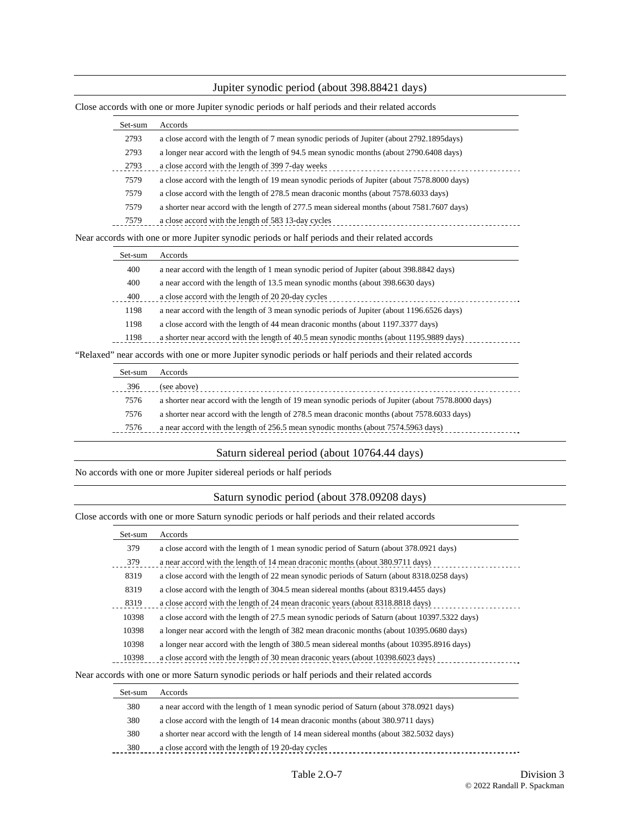### Jupiter synodic period (about 398.88421 days)

|  | Close accords with one or more Jupiter synodic periods or half periods and their related accords |
|--|--------------------------------------------------------------------------------------------------|
|  |                                                                                                  |

| Set-sum | Accords                                                                                     |
|---------|---------------------------------------------------------------------------------------------|
| 2793    | a close accord with the length of 7 mean synodic periods of Jupiter (about 2792.1895days)   |
| 2793    | a longer near accord with the length of 94.5 mean synodic months (about 2790.6408 days)     |
| 2793    | a close accord with the length of 399 7-day weeks                                           |
| 7579    | a close accord with the length of 19 mean synodic periods of Jupiter (about 7578.8000 days) |
| 7579    | a close accord with the length of 278.5 mean draconic months (about 7578.6033 days)         |
| 7579    | a shorter near accord with the length of 277.5 mean sidereal months (about 7581.7607 days)  |
| 7579    | a close accord with the length of 583 13-day cycles                                         |

| Set-sum | Accords                                                                                   |
|---------|-------------------------------------------------------------------------------------------|
| 400     | a near accord with the length of 1 mean synodic period of Jupiter (about 398.8842 days)   |
| 400     | a near accord with the length of 13.5 mean synodic months (about 398.6630 days)           |
| 400     | a close accord with the length of 20 20-day cycles                                        |
| 1198    | a near accord with the length of 3 mean synodic periods of Jupiter (about 1196.6526 days) |
| 1198    | a close accord with the length of 44 mean draconic months (about 1197.3377 days)          |
| 1198    | a shorter near accord with the length of 40.5 mean synodic months (about 1195.9889 days)  |
|         |                                                                                           |

"Relaxed" near accords with one or more Jupiter synodic periods or half periods and their related accords

| Set-sum | Accords                                                                                            |
|---------|----------------------------------------------------------------------------------------------------|
| 396     | (see above)                                                                                        |
| 7576    | a shorter near accord with the length of 19 mean synodic periods of Jupiter (about 7578.8000 days) |
| 7576    | a shorter near accord with the length of 278.5 mean draconic months (about 7578.6033 days)         |
| 7576    | a near accord with the length of 256.5 mean synodic months (about 7574.5963 days)                  |
|         |                                                                                                    |

### Saturn sidereal period (about 10764.44 days)

No accords with one or more Jupiter sidereal periods or half periods

### Saturn synodic period (about 378.09208 days)

Close accords with one or more Saturn synodic periods or half periods and their related accords

| Set-sum | Accords                                                                                        |
|---------|------------------------------------------------------------------------------------------------|
| 379     | a close accord with the length of 1 mean synodic period of Saturn (about 378.0921 days)        |
| 379     | a near accord with the length of 14 mean draconic months (about 380.9711 days)                 |
| 8319    | a close accord with the length of 22 mean synodic periods of Saturn (about 8318.0258 days)     |
| 8319    | a close accord with the length of 304.5 mean sidereal months (about 8319.4455 days)            |
| 8319    | a close accord with the length of 24 mean draconic years (about 8318.8818 days)                |
| 10398   | a close accord with the length of 27.5 mean synodic periods of Saturn (about 10397.5322 days)  |
| 10398   | a longer near accord with the length of 382 mean draconic months (about 10395.0680 days)       |
| 10398   | a longer near accord with the length of 380.5 mean sidereal months (about 10395.8916 days)     |
| 10398   | a close accord with the length of 30 mean draconic years (about 10398.6023 days)               |
|         | Near accords with one or more Saturn synodic periods or half periods and their related accords |

| Set-sum | Accords                                                                                |
|---------|----------------------------------------------------------------------------------------|
| 380     | a near accord with the length of 1 mean synodic period of Saturn (about 378.0921 days) |
| 380     | a close accord with the length of 14 mean draconic months (about 380.9711 days)        |
| 380     | a shorter near accord with the length of 14 mean sidereal months (about 382.5032 days) |
| 380     | a close accord with the length of 19 20-day cycles                                     |